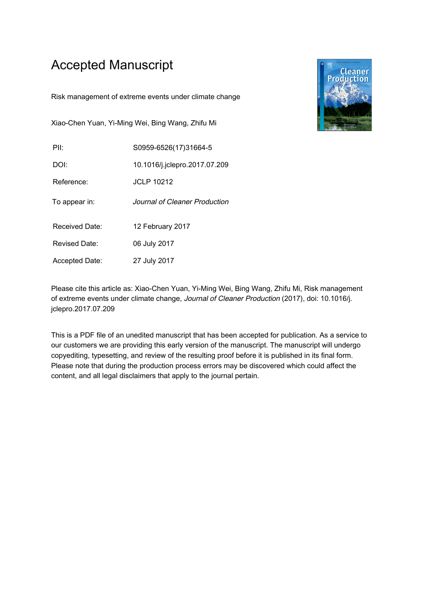## Accepted Manuscript

Risk management of extreme events under climate change

Xiao-Chen Yuan, Yi-Ming Wei, Bing Wang, Zhifu Mi

| PII: | S0959-6526(17)31664-5 |  |
|------|-----------------------|--|
|      |                       |  |

DOI: 10.1016/j.jclepro.2017.07.209

Reference: JCLP 10212

To appear in: Journal of Cleaner Production

Received Date: 12 February 2017

Revised Date: 06 July 2017

Accepted Date: 27 July 2017



Please cite this article as: Xiao-Chen Yuan, Yi-Ming Wei, Bing Wang, Zhifu Mi, Risk management of extreme events under climate change, Journal of Cleaner Production (2017), doi: 10.1016/j. jclepro.2017.07.209

This is a PDF file of an unedited manuscript that has been accepted for publication. As a service to our customers we are providing this early version of the manuscript. The manuscript will undergo copyediting, typesetting, and review of the resulting proof before it is published in its final form. Please note that during the production process errors may be discovered which could affect the content, and all legal disclaimers that apply to the journal pertain.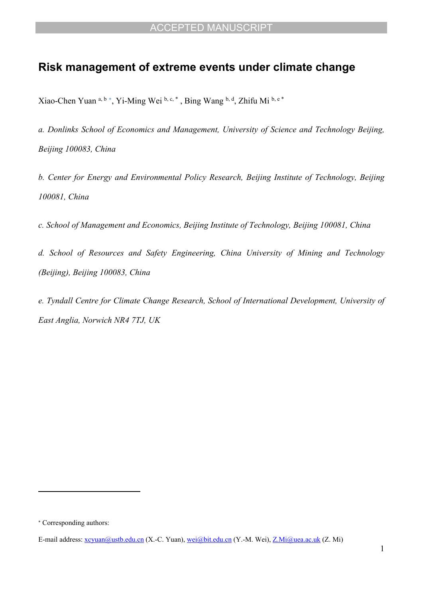## **Risk management of extreme events under climate change**

Xiao-Chen Yuan a, b \*, Yi-Ming Wei b, c, \*, Bing Wang b, d, Zhifu Mi b, e \*

*a. Donlinks School of Economics and Management, University of Science and Technology Beijing, Beijing 100083, China*

*b. Center for Energy and Environmental Policy Research, Beijing Institute of Technology, Beijing 100081, China*

*c. School of Management and Economics, Beijing Institute of Technology, Beijing 100081, China*

*d. School of Resources and Safety Engineering, China University of Mining and Technology (Beijing), Beijing 100083, China*

*e. Tyndall Centre for Climate Change Research, School of International Development, University of East Anglia, Norwich NR4 7TJ, UK*

 Corresponding authors:

E-mail address: [xcyuan@ustb.edu.cn](mailto:xcyuan@ustb.edu.cn) (X.-C. Yuan), [wei@bit.edu.cn](mailto:wei@bit.edu.cn) (Y.-M. Wei), [Z.Mi@uea.ac.uk](mailto:Z.Mi@uea.ac.uk) (Z. Mi)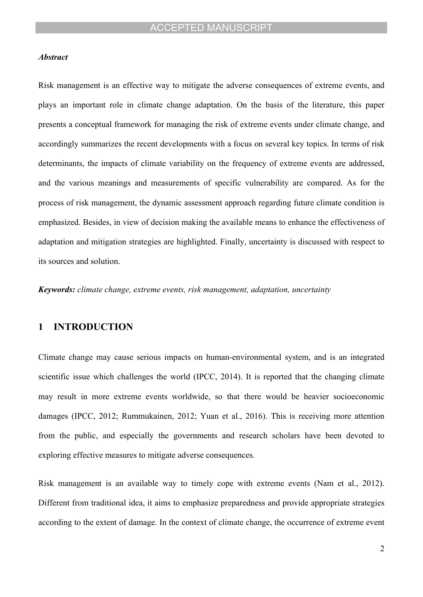#### *Abstract*

Risk management is an effective way to mitigate the adverse consequences of extreme events, and plays an important role in climate change adaptation. On the basis of the literature, this paper presents a conceptual framework for managing the risk of extreme events under climate change, and accordingly summarizes the recent developments with a focus on several key topics. In terms of risk determinants, the impacts of climate variability on the frequency of extreme events are addressed, and the various meanings and measurements of specific vulnerability are compared. As for the process of risk management, the dynamic assessment approach regarding future climate condition is emphasized. Besides, in view of decision making the available means to enhance the effectiveness of adaptation and mitigation strategies are highlighted. Finally, uncertainty is discussed with respect to its sources and solution.

*Keywords: climate change, extreme events, risk management, adaptation, uncertainty*

### **1 INTRODUCTION**

Climate change may cause serious impacts on human-environmental system, and is an integrated scientific issue which challenges the world [\(IPCC, 2014\)](#page-17-0). It is reported that the changing climate may result in more extreme events worldwide, so that there would be heavier socioeconomic damages ([IPCC, 2012](#page-17-1); [Rummukainen, 2012;](#page-19-0) [Yuan et al., 2016\)](#page-20-0). This is receiving more attention from the public, and especially the governments and research scholars have been devoted to exploring effective measures to mitigate adverse consequences.

Risk management is an available way to timely cope with extreme events [\(Nam et al., 2012](#page-18-0)). Different from traditional idea, it aims to emphasize preparedness and provide appropriate strategies according to the extent of damage. In the context of climate change, the occurrence of extreme event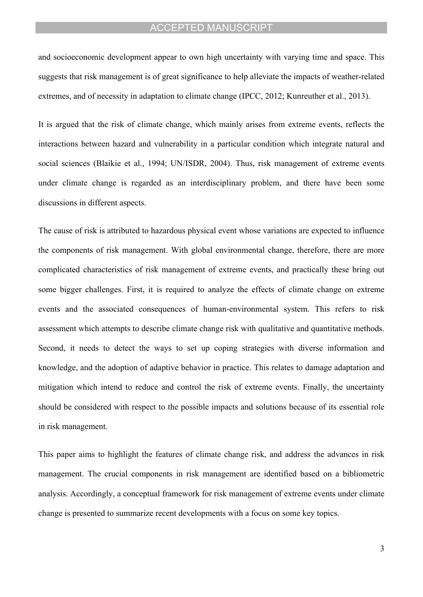and socioeconomic development appear to own high uncertainty with varying time and space. This suggests that risk management is of great significance to help alleviate the impacts of weather-related extremes, and of necessity in adaptation to climate change ([IPCC, 2012](#page-17-1); [Kunreuther et al., 2013\)](#page-18-1).

It is argued that the risk of climate change, which mainly arises from extreme events, reflects the interactions between hazard and vulnerability in a particular condition which integrate natural and social sciences ([Blaikie et al., 1994;](#page-16-0) [UN/ISDR, 2004\)](#page-19-1). Thus, risk management of extreme events under climate change is regarded as an interdisciplinary problem, and there have been some discussions in different aspects.

The cause of risk is attributed to hazardous physical event whose variations are expected to influence the components of risk management. With global environmental change, therefore, there are more complicated characteristics of risk management of extreme events, and practically these bring out some bigger challenges. First, it is required to analyze the effects of climate change on extreme events and the associated consequences of human-environmental system. This refers to risk assessment which attempts to describe climate change risk with qualitative and quantitative methods. Second, it needs to detect the ways to set up coping strategies with diverse information and knowledge, and the adoption of adaptive behavior in practice. This relates to damage adaptation and mitigation which intend to reduce and control the risk of extreme events. Finally, the uncertainty should be considered with respect to the possible impacts and solutions because of its essential role in risk management.

This paper aims to highlight the features of climate change risk, and address the advances in risk management. The crucial components in risk management are identified based on a bibliometric analysis. Accordingly, a conceptual framework for risk management of extreme events under climate change is presented to summarize recent developments with a focus on some key topics.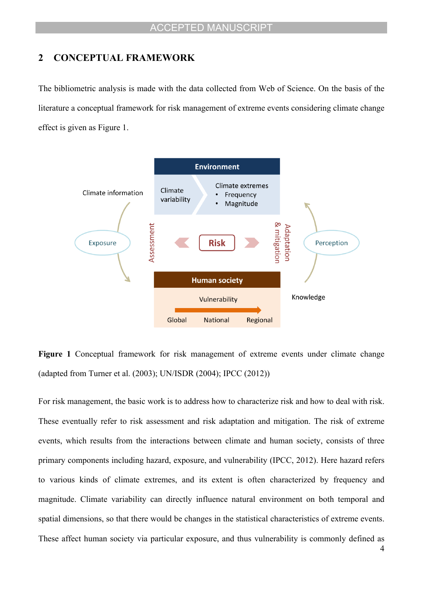#### **2 CONCEPTUAL FRAMEWORK**

The bibliometric analysis is made with the data collected from Web of Science. On the basis of the literature a conceptual framework for risk management of extreme events considering climate change effect is given as [Figure 1](#page-4-0).



<span id="page-4-0"></span>Figure 1 Conceptual framework for risk management of extreme events under climate change (adapted from [Turner et al. \(2003\);](#page-19-2) [UN/ISDR \(2004\);](#page-19-1) [IPCC \(2012\)\)](#page-17-1)

For risk management, the basic work is to address how to characterize risk and how to deal with risk. These eventually refer to risk assessment and risk adaptation and mitigation. The risk of extreme events, which results from the interactions between climate and human society, consists of three primary components including hazard, exposure, and vulnerability ([IPCC, 2012](#page-17-1)). Here hazard refers to various kinds of climate extremes, and its extent is often characterized by frequency and magnitude. Climate variability can directly influence natural environment on both temporal and spatial dimensions, so that there would be changes in the statistical characteristics of extreme events. These affect human society via particular exposure, and thus vulnerability is commonly defined as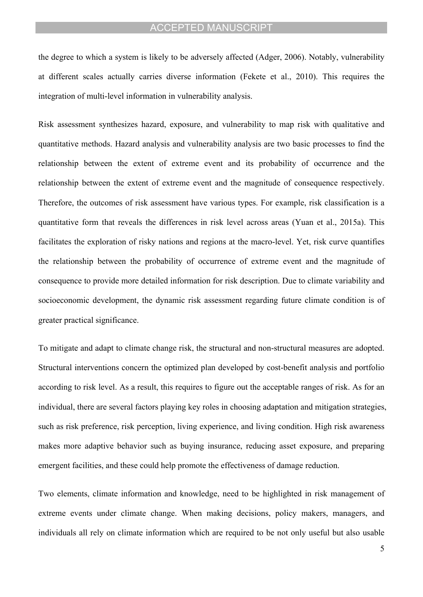the degree to which a system is likely to be adversely affected [\(Adger, 2006](#page-15-0)). Notably, vulnerability at different scales actually carries diverse information [\(Fekete et al., 2010\)](#page-17-2). This requires the integration of multi-level information in vulnerability analysis.

Risk assessment synthesizes hazard, exposure, and vulnerability to map risk with qualitative and quantitative methods. Hazard analysis and vulnerability analysis are two basic processes to find the relationship between the extent of extreme event and its probability of occurrence and the relationship between the extent of extreme event and the magnitude of consequence respectively. Therefore, the outcomes of risk assessment have various types. For example, risk classification is a quantitative form that reveals the differences in risk level across areas [\(Yuan et al., 2015a](#page-20-1)). This facilitates the exploration of risky nations and regions at the macro-level. Yet, risk curve quantifies the relationship between the probability of occurrence of extreme event and the magnitude of consequence to provide more detailed information for risk description. Due to climate variability and socioeconomic development, the dynamic risk assessment regarding future climate condition is of greater practical significance.

To mitigate and adapt to climate change risk, the structural and non-structural measures are adopted. Structural interventions concern the optimized plan developed by cost-benefit analysis and portfolio according to risk level. As a result, this requires to figure out the acceptable ranges of risk. As for an individual, there are several factors playing key roles in choosing adaptation and mitigation strategies, such as risk preference, risk perception, living experience, and living condition. High risk awareness makes more adaptive behavior such as buying insurance, reducing asset exposure, and preparing emergent facilities, and these could help promote the effectiveness of damage reduction.

Two elements, climate information and knowledge, need to be highlighted in risk management of extreme events under climate change. When making decisions, policy makers, managers, and individuals all rely on climate information which are required to be not only useful but also usable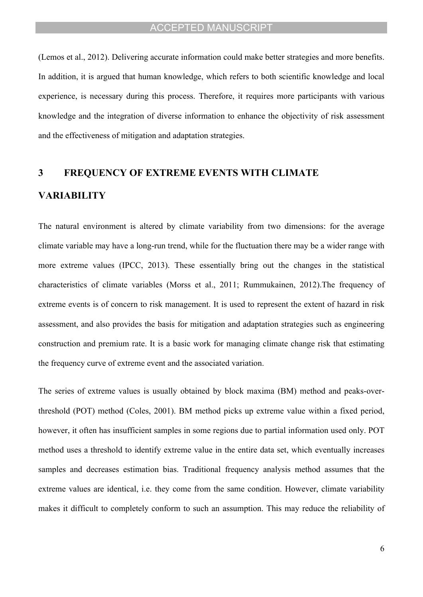([Lemos et al., 2012](#page-18-2)). Delivering accurate information could make better strategies and more benefits. In addition, it is argued that human knowledge, which refers to both scientific knowledge and local experience, is necessary during this process. Therefore, it requires more participants with various knowledge and the integration of diverse information to enhance the objectivity of risk assessment and the effectiveness of mitigation and adaptation strategies.

# **3 FREQUENCY OF EXTREME EVENTS WITH CLIMATE VARIABILITY**

The natural environment is altered by climate variability from two dimensions: for the average climate variable may have a long-run trend, while for the fluctuation there may be a wider range with more extreme values ([IPCC, 2013](#page-17-3)). These essentially bring out the changes in the statistical characteristics of climate variables ([Morss et al., 2011](#page-18-3); [Rummukainen, 2012](#page-19-0)).The frequency of extreme events is of concern to risk management. It is used to represent the extent of hazard in risk assessment, and also provides the basis for mitigation and adaptation strategies such as engineering construction and premium rate. It is a basic work for managing climate change risk that estimating the frequency curve of extreme event and the associated variation.

The series of extreme values is usually obtained by block maxima (BM) method and peaks-overthreshold (POT) method [\(Coles, 2001\)](#page-16-1). BM method picks up extreme value within a fixed period, however, it often has insufficient samples in some regions due to partial information used only. POT method uses a threshold to identify extreme value in the entire data set, which eventually increases samples and decreases estimation bias. Traditional frequency analysis method assumes that the extreme values are identical, i.e. they come from the same condition. However, climate variability makes it difficult to completely conform to such an assumption. This may reduce the reliability of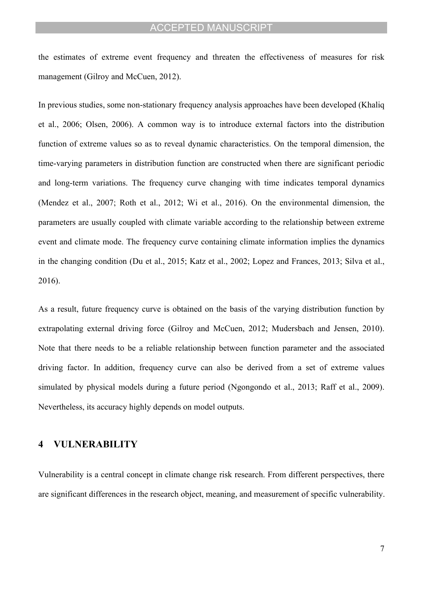the estimates of extreme event frequency and threaten the effectiveness of measures for risk management [\(Gilroy and McCuen, 2012](#page-17-4)).

In previous studies, some non-stationary frequency analysis approaches have been developed ([Khaliq](#page-17-5)  [et al., 2006](#page-17-5); [Olsen, 2006](#page-18-4)). A common way is to introduce external factors into the distribution function of extreme values so as to reveal dynamic characteristics. On the temporal dimension, the time-varying parameters in distribution function are constructed when there are significant periodic and long-term variations. The frequency curve changing with time indicates temporal dynamics ([Mendez et al., 2007;](#page-18-5) [Roth et al., 2012](#page-19-3); [Wi et al., 2016\)](#page-20-2). On the environmental dimension, the parameters are usually coupled with climate variable according to the relationship between extreme event and climate mode. The frequency curve containing climate information implies the dynamics in the changing condition ([Du et al., 2015;](#page-16-2) [Katz et al., 2002](#page-17-6); [Lopez and Frances, 2013;](#page-18-6) [Silva et al.,](#page-19-4)  [2016](#page-19-4)).

As a result, future frequency curve is obtained on the basis of the varying distribution function by extrapolating external driving force ([Gilroy and McCuen, 2012;](#page-17-4) [Mudersbach and Jensen, 2010](#page-18-7)). Note that there needs to be a reliable relationship between function parameter and the associated driving factor. In addition, frequency curve can also be derived from a set of extreme values simulated by physical models during a future period [\(Ngongondo et al., 2013](#page-18-8); [Raff et al., 2009](#page-19-5)). Nevertheless, its accuracy highly depends on model outputs.

#### **4 VULNERABILITY**

Vulnerability is a central concept in climate change risk research. From different perspectives, there are significant differences in the research object, meaning, and measurement of specific vulnerability.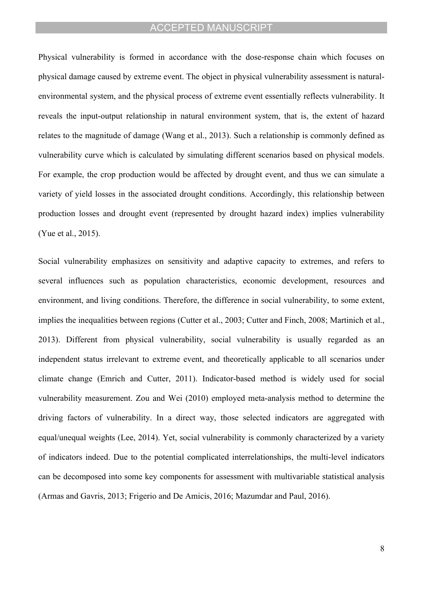Physical vulnerability is formed in accordance with the dose-response chain which focuses on physical damage caused by extreme event. The object in physical vulnerability assessment is naturalenvironmental system, and the physical process of extreme event essentially reflects vulnerability. It reveals the input-output relationship in natural environment system, that is, the extent of hazard relates to the magnitude of damage [\(Wang et al., 2013\)](#page-20-3). Such a relationship is commonly defined as vulnerability curve which is calculated by simulating different scenarios based on physical models. For example, the crop production would be affected by drought event, and thus we can simulate a variety of yield losses in the associated drought conditions. Accordingly, this relationship between production losses and drought event (represented by drought hazard index) implies vulnerability ([Yue et al., 2015](#page-20-4)).

Social vulnerability emphasizes on sensitivity and adaptive capacity to extremes, and refers to several influences such as population characteristics, economic development, resources and environment, and living conditions. Therefore, the difference in social vulnerability, to some extent, implies the inequalities between regions [\(Cutter et al., 2003;](#page-16-3) [Cutter and Finch, 2008](#page-16-4); [Martinich et al.,](#page-18-9)  [2013](#page-18-9)). Different from physical vulnerability, social vulnerability is usually regarded as an independent status irrelevant to extreme event, and theoretically applicable to all scenarios under climate change ([Emrich and Cutter, 2011](#page-16-5)). Indicator-based method is widely used for social vulnerability measurement. [Zou and Wei \(2010\)](#page-20-5) employed meta-analysis method to determine the driving factors of vulnerability. In a direct way, those selected indicators are aggregated with equal/unequal weights ([Lee, 2014](#page-18-10)). Yet, social vulnerability is commonly characterized by a variety of indicators indeed. Due to the potential complicated interrelationships, the multi-level indicators can be decomposed into some key components for assessment with multivariable statistical analysis ([Armas and Gavris, 2013](#page-15-1); [Frigerio and De Amicis, 2016](#page-17-7); [Mazumdar and Paul, 2016](#page-18-11)).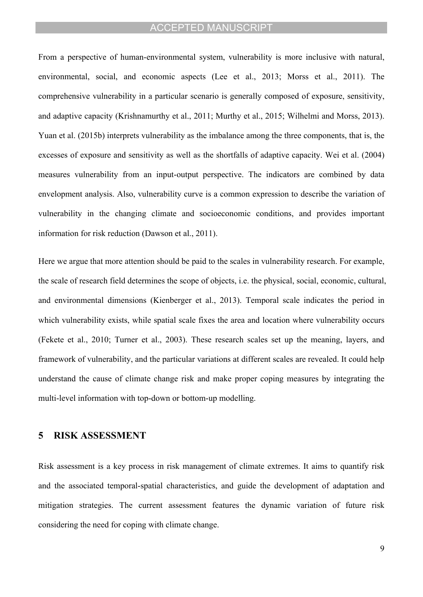From a perspective of human-environmental system, vulnerability is more inclusive with natural, environmental, social, and economic aspects [\(Lee et al., 2013;](#page-18-12) [Morss et al., 2011](#page-18-3)). The comprehensive vulnerability in a particular scenario is generally composed of exposure, sensitivity, and adaptive capacity [\(Krishnamurthy et al., 2011;](#page-17-8) [Murthy et al., 2015](#page-18-13); [Wilhelmi and Morss, 2013](#page-20-6)). [Yuan et al. \(2015b\)](#page-20-7) interprets vulnerability as the imbalance among the three components, that is, the excesses of exposure and sensitivity as well as the shortfalls of adaptive capacity. [Wei et al. \(2004\)](#page-20-8) measures vulnerability from an input-output perspective. The indicators are combined by data envelopment analysis. Also, vulnerability curve is a common expression to describe the variation of vulnerability in the changing climate and socioeconomic conditions, and provides important information for risk reduction ([Dawson et al., 2011\)](#page-16-6).

Here we argue that more attention should be paid to the scales in vulnerability research. For example, the scale of research field determines the scope of objects, i.e. the physical, social, economic, cultural, and environmental dimensions ([Kienberger et al., 2013\)](#page-17-9). Temporal scale indicates the period in which vulnerability exists, while spatial scale fixes the area and location where vulnerability occurs ([Fekete et al., 2010;](#page-17-2) [Turner et al., 2003](#page-19-2)). These research scales set up the meaning, layers, and framework of vulnerability, and the particular variations at different scales are revealed. It could help understand the cause of climate change risk and make proper coping measures by integrating the multi-level information with top-down or bottom-up modelling.

#### **5 RISK ASSESSMENT**

Risk assessment is a key process in risk management of climate extremes. It aims to quantify risk and the associated temporal-spatial characteristics, and guide the development of adaptation and mitigation strategies. The current assessment features the dynamic variation of future risk considering the need for coping with climate change.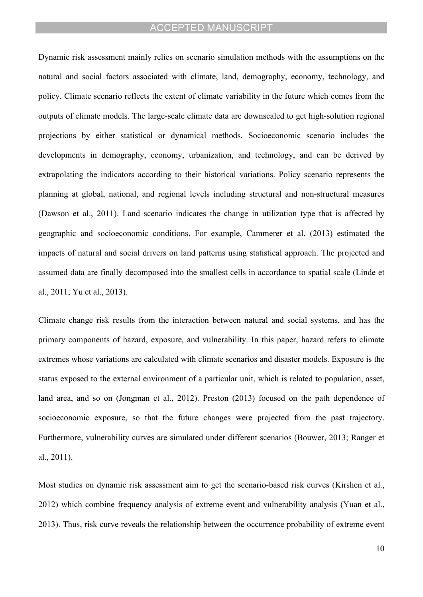Dynamic risk assessment mainly relies on scenario simulation methods with the assumptions on the natural and social factors associated with climate, land, demography, economy, technology, and policy. Climate scenario reflects the extent of climate variability in the future which comes from the outputs of climate models. The large-scale climate data are downscaled to get high-solution regional projections by either statistical or dynamical methods. Socioeconomic scenario includes the developments in demography, economy, urbanization, and technology, and can be derived by extrapolating the indicators according to their historical variations. Policy scenario represents the planning at global, national, and regional levels including structural and non-structural measures ([Dawson et al., 2011](#page-16-6)). Land scenario indicates the change in utilization type that is affected by geographic and socioeconomic conditions. For example, [Cammerer et al. \(2013\)](#page-16-7) estimated the impacts of natural and social drivers on land patterns using statistical approach. The projected and assumed data are finally decomposed into the smallest cells in accordance to spatial scale ([Linde et](#page-18-14)  [al., 2011;](#page-18-14) [Yu et al., 2013\)](#page-20-9).

Climate change risk results from the interaction between natural and social systems, and has the primary components of hazard, exposure, and vulnerability. In this paper, hazard refers to climate extremes whose variations are calculated with climate scenarios and disaster models. Exposure is the status exposed to the external environment of a particular unit, which is related to population, asset, land area, and so on ([Jongman et al., 2012\)](#page-17-10). [Preston \(2013\)](#page-19-6) focused on the path dependence of socioeconomic exposure, so that the future changes were projected from the past trajectory. Furthermore, vulnerability curves are simulated under different scenarios [\(Bouwer, 2013](#page-16-8); [Ranger et](#page-19-7)  [al., 2011\)](#page-19-7).

Most studies on dynamic risk assessment aim to get the scenario-based risk curves ([Kirshen et al.,](#page-17-11)  [2012](#page-17-11)) which combine frequency analysis of extreme event and vulnerability analysis [\(Yuan et al.,](#page-20-10)  [2013](#page-20-10)). Thus, risk curve reveals the relationship between the occurrence probability of extreme event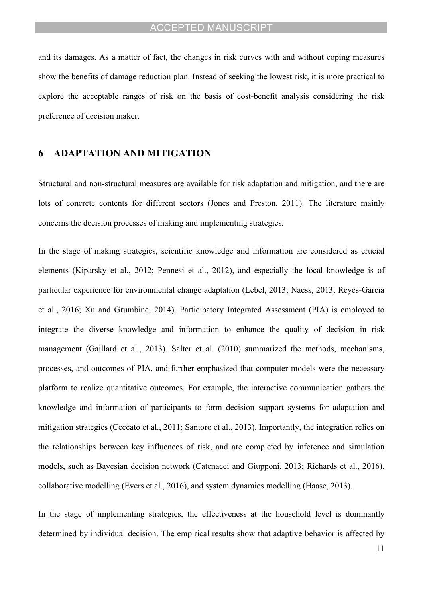and its damages. As a matter of fact, the changes in risk curves with and without coping measures show the benefits of damage reduction plan. Instead of seeking the lowest risk, it is more practical to explore the acceptable ranges of risk on the basis of cost-benefit analysis considering the risk preference of decision maker.

#### **6 ADAPTATION AND MITIGATION**

Structural and non-structural measures are available for risk adaptation and mitigation, and there are lots of concrete contents for different sectors [\(Jones and Preston, 2011](#page-17-12)). The literature mainly concerns the decision processes of making and implementing strategies.

In the stage of making strategies, scientific knowledge and information are considered as crucial elements [\(Kiparsky et al., 2012](#page-17-13); [Pennesi et al., 2012\)](#page-18-15), and especially the local knowledge is of particular experience for environmental change adaptation ([Lebel, 2013;](#page-18-16) [Naess, 2013](#page-18-17); [Reyes-Garcia](#page-19-8)  [et al., 2016;](#page-19-8) [Xu and Grumbine, 2014](#page-20-11)). Participatory Integrated Assessment (PIA) is employed to integrate the diverse knowledge and information to enhance the quality of decision in risk management [\(Gaillard et al., 2013\)](#page-17-14). [Salter et al. \(2010\)](#page-19-9) summarized the methods, mechanisms, processes, and outcomes of PIA, and further emphasized that computer models were the necessary platform to realize quantitative outcomes. For example, the interactive communication gathers the knowledge and information of participants to form decision support systems for adaptation and mitigation strategies ([Ceccato et al., 2011](#page-16-9); [Santoro et al., 2013\)](#page-19-10). Importantly, the integration relies on the relationships between key influences of risk, and are completed by inference and simulation models, such as Bayesian decision network [\(Catenacci and Giupponi, 2013;](#page-16-10) [Richards et al., 2016](#page-19-11)), collaborative modelling [\(Evers et al., 2016\)](#page-16-11), and system dynamics modelling [\(Haase, 2013\)](#page-17-15).

In the stage of implementing strategies, the effectiveness at the household level is dominantly determined by individual decision. The empirical results show that adaptive behavior is affected by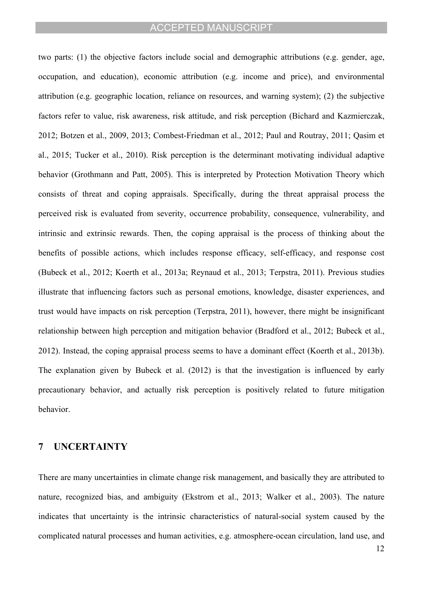two parts: (1) the objective factors include social and demographic attributions (e.g. gender, age, occupation, and education), economic attribution (e.g. income and price), and environmental attribution (e.g. geographic location, reliance on resources, and warning system); (2) the subjective factors refer to value, risk awareness, risk attitude, and risk perception [\(Bichard and Kazmierczak,](#page-16-12)  [2012](#page-16-12); [Botzen et al., 2009,](#page-16-13) [2013;](#page-16-14) [Combest-Friedman et al., 2012](#page-16-15); [Paul and Routray, 2011](#page-18-18); [Qasim et](#page-19-12)  [al., 2015;](#page-19-12) [Tucker et al., 2010\)](#page-19-13). Risk perception is the determinant motivating individual adaptive behavior ([Grothmann and Patt, 2005\)](#page-17-16). This is interpreted by Protection Motivation Theory which consists of threat and coping appraisals. Specifically, during the threat appraisal process the perceived risk is evaluated from severity, occurrence probability, consequence, vulnerability, and intrinsic and extrinsic rewards. Then, the coping appraisal is the process of thinking about the benefits of possible actions, which includes response efficacy, self-efficacy, and response cost ([Bubeck et al., 2012;](#page-16-16) [Koerth et al., 2013a](#page-17-17); [Reynaud et al., 2013;](#page-19-14) [Terpstra, 2011](#page-19-15)). Previous studies illustrate that influencing factors such as personal emotions, knowledge, disaster experiences, and trust would have impacts on risk perception ([Terpstra, 2011\)](#page-19-15), however, there might be insignificant relationship between high perception and mitigation behavior [\(Bradford et al., 2012;](#page-16-17) [Bubeck et al.,](#page-16-16)  [2012](#page-16-16)). Instead, the coping appraisal process seems to have a dominant effect ([Koerth et al., 2013b](#page-17-18)). The explanation given by [Bubeck et al. \(2012\)](#page-16-16) is that the investigation is influenced by early precautionary behavior, and actually risk perception is positively related to future mitigation behavior.

### **7 UNCERTAINTY**

There are many uncertainties in climate change risk management, and basically they are attributed to nature, recognized bias, and ambiguity [\(Ekstrom et al., 2013;](#page-16-18) [Walker et al., 2003](#page-19-16)). The nature indicates that uncertainty is the intrinsic characteristics of natural-social system caused by the complicated natural processes and human activities, e.g. atmosphere-ocean circulation, land use, and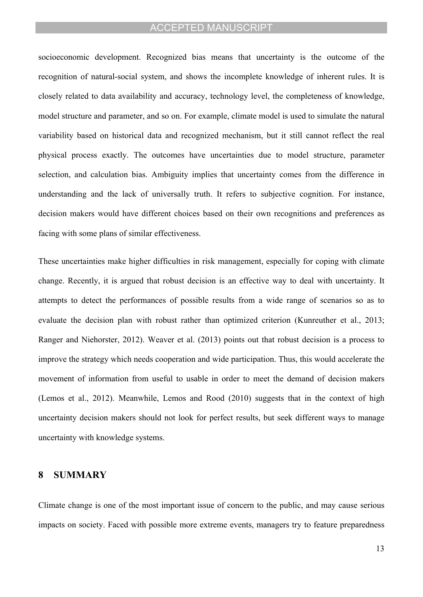socioeconomic development. Recognized bias means that uncertainty is the outcome of the recognition of natural-social system, and shows the incomplete knowledge of inherent rules. It is closely related to data availability and accuracy, technology level, the completeness of knowledge, model structure and parameter, and so on. For example, climate model is used to simulate the natural variability based on historical data and recognized mechanism, but it still cannot reflect the real physical process exactly. The outcomes have uncertainties due to model structure, parameter selection, and calculation bias. Ambiguity implies that uncertainty comes from the difference in understanding and the lack of universally truth. It refers to subjective cognition. For instance, decision makers would have different choices based on their own recognitions and preferences as facing with some plans of similar effectiveness.

These uncertainties make higher difficulties in risk management, especially for coping with climate change. Recently, it is argued that robust decision is an effective way to deal with uncertainty. It attempts to detect the performances of possible results from a wide range of scenarios so as to evaluate the decision plan with robust rather than optimized criterion ([Kunreuther et al., 2013](#page-18-1); [Ranger and Niehorster, 2012\)](#page-19-17). [Weaver et al. \(2013\)](#page-20-12) points out that robust decision is a process to improve the strategy which needs cooperation and wide participation. Thus, this would accelerate the movement of information from useful to usable in order to meet the demand of decision makers ([Lemos et al., 2012](#page-18-2)). Meanwhile, [Lemos and Rood \(2010\)](#page-18-19) suggests that in the context of high uncertainty decision makers should not look for perfect results, but seek different ways to manage uncertainty with knowledge systems.

#### **8 SUMMARY**

Climate change is one of the most important issue of concern to the public, and may cause serious impacts on society. Faced with possible more extreme events, managers try to feature preparedness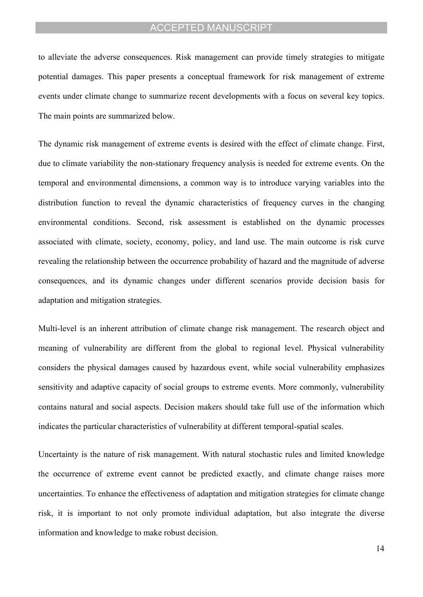to alleviate the adverse consequences. Risk management can provide timely strategies to mitigate potential damages. This paper presents a conceptual framework for risk management of extreme events under climate change to summarize recent developments with a focus on several key topics. The main points are summarized below.

The dynamic risk management of extreme events is desired with the effect of climate change. First, due to climate variability the non-stationary frequency analysis is needed for extreme events. On the temporal and environmental dimensions, a common way is to introduce varying variables into the distribution function to reveal the dynamic characteristics of frequency curves in the changing environmental conditions. Second, risk assessment is established on the dynamic processes associated with climate, society, economy, policy, and land use. The main outcome is risk curve revealing the relationship between the occurrence probability of hazard and the magnitude of adverse consequences, and its dynamic changes under different scenarios provide decision basis for adaptation and mitigation strategies.

Multi-level is an inherent attribution of climate change risk management. The research object and meaning of vulnerability are different from the global to regional level. Physical vulnerability considers the physical damages caused by hazardous event, while social vulnerability emphasizes sensitivity and adaptive capacity of social groups to extreme events. More commonly, vulnerability contains natural and social aspects. Decision makers should take full use of the information which indicates the particular characteristics of vulnerability at different temporal-spatial scales.

Uncertainty is the nature of risk management. With natural stochastic rules and limited knowledge the occurrence of extreme event cannot be predicted exactly, and climate change raises more uncertainties. To enhance the effectiveness of adaptation and mitigation strategies for climate change risk, it is important to not only promote individual adaptation, but also integrate the diverse information and knowledge to make robust decision.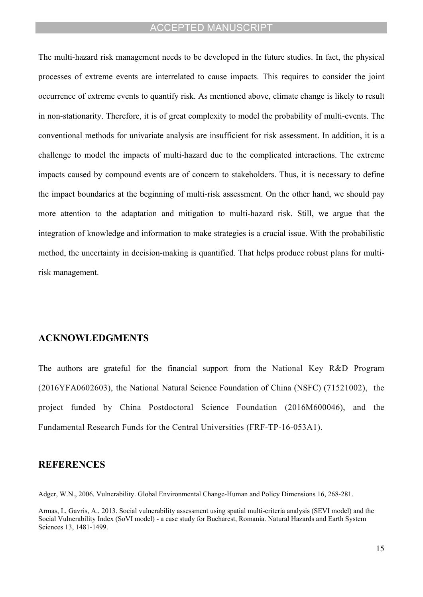The multi-hazard risk management needs to be developed in the future studies. In fact, the physical processes of extreme events are interrelated to cause impacts. This requires to consider the joint occurrence of extreme events to quantify risk. As mentioned above, climate change is likely to result in non-stationarity. Therefore, it is of great complexity to model the probability of multi-events. The conventional methods for univariate analysis are insufficient for risk assessment. In addition, it is a challenge to model the impacts of multi-hazard due to the complicated interactions. The extreme impacts caused by compound events are of concern to stakeholders. Thus, it is necessary to define the impact boundaries at the beginning of multi-risk assessment. On the other hand, we should pay more attention to the adaptation and mitigation to multi-hazard risk. Still, we argue that the integration of knowledge and information to make strategies is a crucial issue. With the probabilistic method, the uncertainty in decision-making is quantified. That helps produce robust plans for multirisk management.

#### **ACKNOWLEDGMENTS**

The authors are grateful for the financial support from the National Key R&D Program (2016YFA0602603), the National Natural Science Foundation of China (NSFC) (71521002), the project funded by China Postdoctoral Science Foundation (2016M600046), and the Fundamental Research Funds for the Central Universities (FRF-TP-16-053A1).

#### **REFERENCES**

<span id="page-15-0"></span>Adger, W.N., 2006. Vulnerability. Global Environmental Change-Human and Policy Dimensions 16, 268-281.

<span id="page-15-1"></span>Armas, I., Gavris, A., 2013. Social vulnerability assessment using spatial multi-criteria analysis (SEVI model) and the Social Vulnerability Index (SoVI model) - a case study for Bucharest, Romania. Natural Hazards and Earth System Sciences 13, 1481-1499.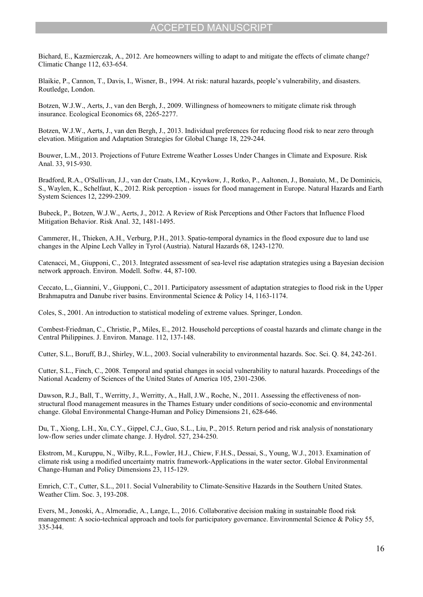<span id="page-16-12"></span>Bichard, E., Kazmierczak, A., 2012. Are homeowners willing to adapt to and mitigate the effects of climate change? Climatic Change 112, 633-654.

<span id="page-16-0"></span>Blaikie, P., Cannon, T., Davis, I., Wisner, B., 1994. At risk: natural hazards, people's vulnerability, and disasters. Routledge, London.

<span id="page-16-13"></span>Botzen, W.J.W., Aerts, J., van den Bergh, J., 2009. Willingness of homeowners to mitigate climate risk through insurance. Ecological Economics 68, 2265-2277.

<span id="page-16-14"></span>Botzen, W.J.W., Aerts, J., van den Bergh, J., 2013. Individual preferences for reducing flood risk to near zero through elevation. Mitigation and Adaptation Strategies for Global Change 18, 229-244.

<span id="page-16-8"></span>Bouwer, L.M., 2013. Projections of Future Extreme Weather Losses Under Changes in Climate and Exposure. Risk Anal. 33, 915-930.

<span id="page-16-17"></span>Bradford, R.A., O'Sullivan, J.J., van der Craats, I.M., Krywkow, J., Rotko, P., Aaltonen, J., Bonaiuto, M., De Dominicis, S., Waylen, K., Schelfaut, K., 2012. Risk perception - issues for flood management in Europe. Natural Hazards and Earth System Sciences 12, 2299-2309.

<span id="page-16-16"></span>Bubeck, P., Botzen, W.J.W., Aerts, J., 2012. A Review of Risk Perceptions and Other Factors that Influence Flood Mitigation Behavior. Risk Anal. 32, 1481-1495.

<span id="page-16-7"></span>Cammerer, H., Thieken, A.H., Verburg, P.H., 2013. Spatio-temporal dynamics in the flood exposure due to land use changes in the Alpine Lech Valley in Tyrol (Austria). Natural Hazards 68, 1243-1270.

<span id="page-16-10"></span>Catenacci, M., Giupponi, C., 2013. Integrated assessment of sea-level rise adaptation strategies using a Bayesian decision network approach. Environ. Modell. Softw. 44, 87-100.

<span id="page-16-9"></span>Ceccato, L., Giannini, V., Giupponi, C., 2011. Participatory assessment of adaptation strategies to flood risk in the Upper Brahmaputra and Danube river basins. Environmental Science & Policy 14, 1163-1174.

<span id="page-16-1"></span>Coles, S., 2001. An introduction to statistical modeling of extreme values. Springer, London.

<span id="page-16-15"></span>Combest-Friedman, C., Christie, P., Miles, E., 2012. Household perceptions of coastal hazards and climate change in the Central Philippines. J. Environ. Manage. 112, 137-148.

<span id="page-16-3"></span>Cutter, S.L., Boruff, B.J., Shirley, W.L., 2003. Social vulnerability to environmental hazards. Soc. Sci. Q. 84, 242-261.

<span id="page-16-4"></span>Cutter, S.L., Finch, C., 2008. Temporal and spatial changes in social vulnerability to natural hazards. Proceedings of the National Academy of Sciences of the United States of America 105, 2301-2306.

<span id="page-16-6"></span>Dawson, R.J., Ball, T., Werritty, J., Werritty, A., Hall, J.W., Roche, N., 2011. Assessing the effectiveness of nonstructural flood management measures in the Thames Estuary under conditions of socio-economic and environmental change. Global Environmental Change-Human and Policy Dimensions 21, 628-646.

<span id="page-16-2"></span>Du, T., Xiong, L.H., Xu, C.Y., Gippel, C.J., Guo, S.L., Liu, P., 2015. Return period and risk analysis of nonstationary low-flow series under climate change. J. Hydrol. 527, 234-250.

<span id="page-16-18"></span>Ekstrom, M., Kuruppu, N., Wilby, R.L., Fowler, H.J., Chiew, F.H.S., Dessai, S., Young, W.J., 2013. Examination of climate risk using a modified uncertainty matrix framework-Applications in the water sector. Global Environmental Change-Human and Policy Dimensions 23, 115-129.

<span id="page-16-5"></span>Emrich, C.T., Cutter, S.L., 2011. Social Vulnerability to Climate-Sensitive Hazards in the Southern United States. Weather Clim. Soc. 3, 193-208.

<span id="page-16-11"></span>Evers, M., Jonoski, A., Alrnoradie, A., Lange, L., 2016. Collaborative decision making in sustainable flood risk management: A socio-technical approach and tools for participatory governance. Environmental Science & Policy 55, 335-344.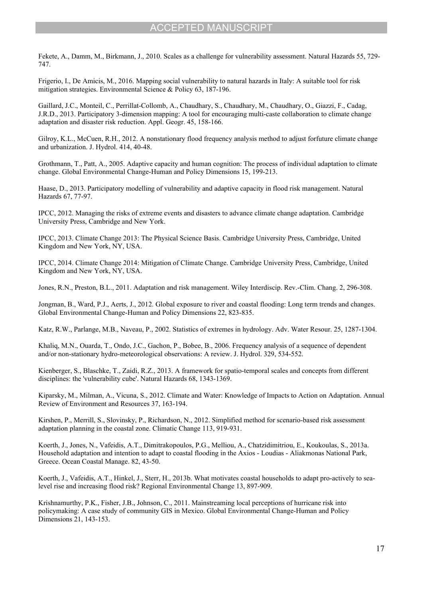<span id="page-17-2"></span>Fekete, A., Damm, M., Birkmann, J., 2010. Scales as a challenge for vulnerability assessment. Natural Hazards 55, 729- 747.

<span id="page-17-7"></span>Frigerio, I., De Amicis, M., 2016. Mapping social vulnerability to natural hazards in Italy: A suitable tool for risk mitigation strategies. Environmental Science & Policy 63, 187-196.

<span id="page-17-14"></span>Gaillard, J.C., Monteil, C., Perrillat-Collomb, A., Chaudhary, S., Chaudhary, M., Chaudhary, O., Giazzi, F., Cadag, J.R.D., 2013. Participatory 3-dimension mapping: A tool for encouraging multi-caste collaboration to climate change adaptation and disaster risk reduction. Appl. Geogr. 45, 158-166.

<span id="page-17-4"></span>Gilroy, K.L., McCuen, R.H., 2012. A nonstationary flood frequency analysis method to adjust forfuture climate change and urbanization. J. Hydrol. 414, 40-48.

<span id="page-17-16"></span>Grothmann, T., Patt, A., 2005. Adaptive capacity and human cognition: The process of individual adaptation to climate change. Global Environmental Change-Human and Policy Dimensions 15, 199-213.

<span id="page-17-15"></span>Haase, D., 2013. Participatory modelling of vulnerability and adaptive capacity in flood risk management. Natural Hazards 67, 77-97.

<span id="page-17-1"></span>IPCC, 2012. Managing the risks of extreme events and disasters to advance climate change adaptation. Cambridge University Press, Cambridge and New York.

<span id="page-17-3"></span>IPCC, 2013. Climate Change 2013: The Physical Science Basis. Cambridge University Press, Cambridge, United Kingdom and New York, NY, USA.

<span id="page-17-0"></span>IPCC, 2014. Climate Change 2014: Mitigation of Climate Change. Cambridge University Press, Cambridge, United Kingdom and New York, NY, USA.

<span id="page-17-12"></span>Jones, R.N., Preston, B.L., 2011. Adaptation and risk management. Wiley Interdiscip. Rev.-Clim. Chang. 2, 296-308.

<span id="page-17-10"></span>Jongman, B., Ward, P.J., Aerts, J., 2012. Global exposure to river and coastal flooding: Long term trends and changes. Global Environmental Change-Human and Policy Dimensions 22, 823-835.

<span id="page-17-6"></span>Katz, R.W., Parlange, M.B., Naveau, P., 2002. Statistics of extremes in hydrology. Adv. Water Resour. 25, 1287-1304.

<span id="page-17-5"></span>Khaliq, M.N., Ouarda, T., Ondo, J.C., Gachon, P., Bobee, B., 2006. Frequency analysis of a sequence of dependent and/or non-stationary hydro-meteorological observations: A review. J. Hydrol. 329, 534-552.

<span id="page-17-9"></span>Kienberger, S., Blaschke, T., Zaidi, R.Z., 2013. A framework for spatio-temporal scales and concepts from different disciplines: the 'vulnerability cube'. Natural Hazards 68, 1343-1369.

<span id="page-17-13"></span>Kiparsky, M., Milman, A., Vicuna, S., 2012. Climate and Water: Knowledge of Impacts to Action on Adaptation. Annual Review of Environment and Resources 37, 163-194.

<span id="page-17-11"></span>Kirshen, P., Merrill, S., Slovinsky, P., Richardson, N., 2012. Simplified method for scenario-based risk assessment adaptation planning in the coastal zone. Climatic Change 113, 919-931.

<span id="page-17-17"></span>Koerth, J., Jones, N., Vafeidis, A.T., Dimitrakopoulos, P.G., Melliou, A., Chatzidimitriou, E., Koukoulas, S., 2013a. Household adaptation and intention to adapt to coastal flooding in the Axios - Loudias - Aliakmonas National Park, Greece. Ocean Coastal Manage. 82, 43-50.

<span id="page-17-18"></span>Koerth, J., Vafeidis, A.T., Hinkel, J., Sterr, H., 2013b. What motivates coastal households to adapt pro-actively to sealevel rise and increasing flood risk? Regional Environmental Change 13, 897-909.

<span id="page-17-8"></span>Krishnamurthy, P.K., Fisher, J.B., Johnson, C., 2011. Mainstreaming local perceptions of hurricane risk into policymaking: A case study of community GIS in Mexico. Global Environmental Change-Human and Policy Dimensions 21, 143-153.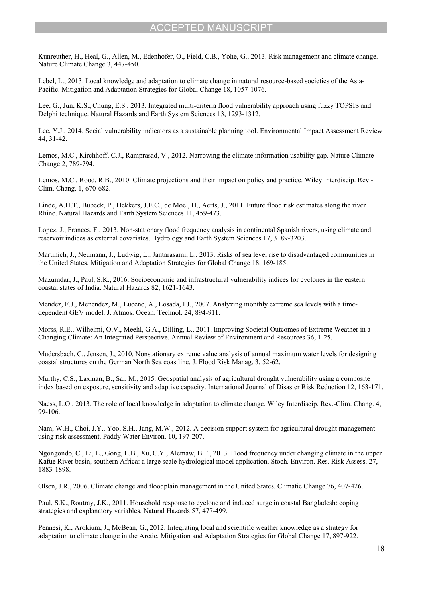<span id="page-18-1"></span>Kunreuther, H., Heal, G., Allen, M., Edenhofer, O., Field, C.B., Yohe, G., 2013. Risk management and climate change. Nature Climate Change 3, 447-450.

<span id="page-18-16"></span>Lebel, L., 2013. Local knowledge and adaptation to climate change in natural resource-based societies of the Asia-Pacific. Mitigation and Adaptation Strategies for Global Change 18, 1057-1076.

<span id="page-18-12"></span>Lee, G., Jun, K.S., Chung, E.S., 2013. Integrated multi-criteria flood vulnerability approach using fuzzy TOPSIS and Delphi technique. Natural Hazards and Earth System Sciences 13, 1293-1312.

<span id="page-18-10"></span>Lee, Y.J., 2014. Social vulnerability indicators as a sustainable planning tool. Environmental Impact Assessment Review 44, 31-42.

<span id="page-18-2"></span>Lemos, M.C., Kirchhoff, C.J., Ramprasad, V., 2012. Narrowing the climate information usability gap. Nature Climate Change 2, 789-794.

<span id="page-18-19"></span>Lemos, M.C., Rood, R.B., 2010. Climate projections and their impact on policy and practice. Wiley Interdiscip. Rev.- Clim. Chang. 1, 670-682.

<span id="page-18-14"></span>Linde, A.H.T., Bubeck, P., Dekkers, J.E.C., de Moel, H., Aerts, J., 2011. Future flood risk estimates along the river Rhine. Natural Hazards and Earth System Sciences 11, 459-473.

<span id="page-18-6"></span>Lopez, J., Frances, F., 2013. Non-stationary flood frequency analysis in continental Spanish rivers, using climate and reservoir indices as external covariates. Hydrology and Earth System Sciences 17, 3189-3203.

<span id="page-18-9"></span>Martinich, J., Neumann, J., Ludwig, L., Jantarasami, L., 2013. Risks of sea level rise to disadvantaged communities in the United States. Mitigation and Adaptation Strategies for Global Change 18, 169-185.

<span id="page-18-11"></span>Mazumdar, J., Paul, S.K., 2016. Socioeconomic and infrastructural vulnerability indices for cyclones in the eastern coastal states of India. Natural Hazards 82, 1621-1643.

<span id="page-18-5"></span>Mendez, F.J., Menendez, M., Luceno, A., Losada, I.J., 2007. Analyzing monthly extreme sea levels with a timedependent GEV model. J. Atmos. Ocean. Technol. 24, 894-911.

<span id="page-18-3"></span>Morss, R.E., Wilhelmi, O.V., Meehl, G.A., Dilling, L., 2011. Improving Societal Outcomes of Extreme Weather in a Changing Climate: An Integrated Perspective. Annual Review of Environment and Resources 36, 1-25.

<span id="page-18-7"></span>Mudersbach, C., Jensen, J., 2010. Nonstationary extreme value analysis of annual maximum water levels for designing coastal structures on the German North Sea coastline. J. Flood Risk Manag. 3, 52-62.

<span id="page-18-13"></span>Murthy, C.S., Laxman, B., Sai, M., 2015. Geospatial analysis of agricultural drought vulnerability using a composite index based on exposure, sensitivity and adaptive capacity. International Journal of Disaster Risk Reduction 12, 163-171.

<span id="page-18-17"></span>Naess, L.O., 2013. The role of local knowledge in adaptation to climate change. Wiley Interdiscip. Rev.-Clim. Chang. 4, 99-106.

<span id="page-18-0"></span>Nam, W.H., Choi, J.Y., Yoo, S.H., Jang, M.W., 2012. A decision support system for agricultural drought management using risk assessment. Paddy Water Environ. 10, 197-207.

<span id="page-18-8"></span>Ngongondo, C., Li, L., Gong, L.B., Xu, C.Y., Alemaw, B.F., 2013. Flood frequency under changing climate in the upper Kafue River basin, southern Africa: a large scale hydrological model application. Stoch. Environ. Res. Risk Assess. 27, 1883-1898.

<span id="page-18-4"></span>Olsen, J.R., 2006. Climate change and floodplain management in the United States. Climatic Change 76, 407-426.

<span id="page-18-18"></span>Paul, S.K., Routray, J.K., 2011. Household response to cyclone and induced surge in coastal Bangladesh: coping strategies and explanatory variables. Natural Hazards 57, 477-499.

<span id="page-18-15"></span>Pennesi, K., Arokium, J., McBean, G., 2012. Integrating local and scientific weather knowledge as a strategy for adaptation to climate change in the Arctic. Mitigation and Adaptation Strategies for Global Change 17, 897-922.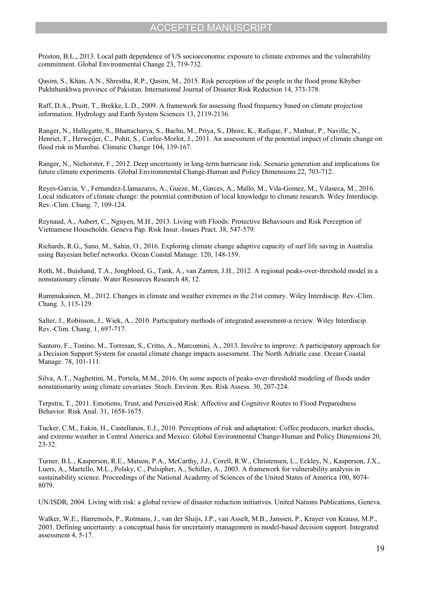<span id="page-19-6"></span>Preston, B.L., 2013. Local path dependence of US socioeconomic exposure to climate extremes and the vulnerability commitment. Global Environmental Change 23, 719-732.

<span id="page-19-12"></span>Qasim, S., Khan, A.N., Shrestha, R.P., Qasim, M., 2015. Risk perception of the people in the flood prone Khyber Pukhthunkhwa province of Pakistan. International Journal of Disaster Risk Reduction 14, 373-378.

<span id="page-19-5"></span>Raff, D.A., Pruitt, T., Brekke, L.D., 2009. A framework for assessing flood frequency based on climate projection information. Hydrology and Earth System Sciences 13, 2119-2136.

<span id="page-19-7"></span>Ranger, N., Hallegatte, S., Bhattacharya, S., Bachu, M., Priya, S., Dhore, K., Rafique, F., Mathur, P., Naville, N., Henriet, F., Herweijer, C., Pohit, S., Corfee-Morlot, J., 2011. An assessment of the potential impact of climate change on flood risk in Mumbai. Climatic Change 104, 139-167.

<span id="page-19-17"></span>Ranger, N., Niehorster, F., 2012. Deep uncertainty in long-term hurricane risk: Scenario generation and implications for future climate experiments. Global Environmental Change-Human and Policy Dimensions 22, 703-712.

<span id="page-19-8"></span>Reyes-Garcia, V., Fernandez-Llamazares, A., Gueze, M., Garces, A., Mallo, M., Vila-Gomez, M., Vilaseca, M., 2016. Local indicators of climate change: the potential contribution of local knowledge to climate research. Wiley Interdiscip. Rev.-Clim. Chang. 7, 109-124.

<span id="page-19-14"></span>Reynaud, A., Aubert, C., Nguyen, M.H., 2013. Living with Floods: Protective Behaviours and Risk Perception of Vietnamese Households. Geneva Pap. Risk Insur.-Issues Pract. 38, 547-579.

<span id="page-19-11"></span>Richards, R.G., Sano, M., Sahin, O., 2016. Exploring climate change adaptive capacity of surf life saving in Australia using Bayesian belief networks. Ocean Coastal Manage. 120, 148-159.

<span id="page-19-3"></span>Roth, M., Buishand, T.A., Jongbloed, G., Tank, A., van Zanten, J.H., 2012. A regional peaks-over-threshold model in a nonstationary climate. Water Resources Research 48, 12.

<span id="page-19-0"></span>Rummukainen, M., 2012. Changes in climate and weather extremes in the 21st century. Wiley Interdiscip. Rev.-Clim. Chang. 3, 115-129.

<span id="page-19-9"></span>Salter, J., Robinson, J., Wiek, A., 2010. Participatory methods of integrated assessment-a review. Wiley Interdiscip. Rev.-Clim. Chang. 1, 697-717.

<span id="page-19-10"></span>Santoro, F., Tonino, M., Torresan, S., Critto, A., Marcomini, A., 2013. Involve to improve: A participatory approach for a Decision Support System for coastal climate change impacts assessment. The North Adriatic case. Ocean Coastal Manage. 78, 101-111.

<span id="page-19-4"></span>Silva, A.T., Naghettini, M., Portela, M.M., 2016. On some aspects of peaks-over-threshold modeling of floods under nonstationarity using climate covariates. Stoch. Environ. Res. Risk Assess. 30, 207-224.

<span id="page-19-15"></span>Terpstra, T., 2011. Emotions, Trust, and Perceived Risk: Affective and Cognitive Routes to Flood Preparedness Behavior. Risk Anal. 31, 1658-1675.

<span id="page-19-13"></span>Tucker, C.M., Eakin, H., Castellanos, E.J., 2010. Perceptions of risk and adaptation: Coffee producers, market shocks, and extreme weather in Central America and Mexico. Global Environmental Change-Human and Policy Dimensions 20, 23-32.

<span id="page-19-2"></span>Turner, B.L., Kasperson, R.E., Matson, P.A., McCarthy, J.J., Corell, R.W., Christensen, L., Eckley, N., Kasperson, J.X., Luers, A., Martello, M.L., Polsky, C., Pulsipher, A., Schiller, A., 2003. A framework for vulnerability analysis in sustainability science. Proceedings of the National Academy of Sciences of the United States of America 100, 8074- 8079.

<span id="page-19-1"></span>UN/ISDR, 2004. Living with risk: a global review of disaster reduction initiatives. United Nations Publications, Geneva.

<span id="page-19-16"></span>Walker, W.E., Harremoës, P., Rotmans, J., van der Sluijs, J.P., van Asselt, M.B., Janssen, P., Krayer von Krauss, M.P., 2003. Defining uncertainty: a conceptual basis for uncertainty management in model-based decision support. Integrated assessment 4, 5-17.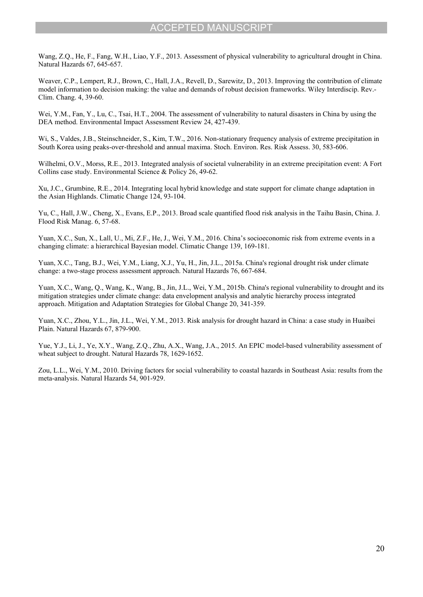<span id="page-20-3"></span>Wang, Z.Q., He, F., Fang, W.H., Liao, Y.F., 2013. Assessment of physical vulnerability to agricultural drought in China. Natural Hazards 67, 645-657.

<span id="page-20-12"></span>Weaver, C.P., Lempert, R.J., Brown, C., Hall, J.A., Revell, D., Sarewitz, D., 2013. Improving the contribution of climate model information to decision making: the value and demands of robust decision frameworks. Wiley Interdiscip. Rev.- Clim. Chang. 4, 39-60.

<span id="page-20-8"></span>Wei, Y.M., Fan, Y., Lu, C., Tsai, H.T., 2004. The assessment of vulnerability to natural disasters in China by using the DEA method. Environmental Impact Assessment Review 24, 427-439.

<span id="page-20-2"></span>Wi, S., Valdes, J.B., Steinschneider, S., Kim, T.W., 2016. Non-stationary frequency analysis of extreme precipitation in South Korea using peaks-over-threshold and annual maxima. Stoch. Environ. Res. Risk Assess. 30, 583-606.

<span id="page-20-6"></span>Wilhelmi, O.V., Morss, R.E., 2013. Integrated analysis of societal vulnerability in an extreme precipitation event: A Fort Collins case study. Environmental Science & Policy 26, 49-62.

<span id="page-20-11"></span>Xu, J.C., Grumbine, R.E., 2014. Integrating local hybrid knowledge and state support for climate change adaptation in the Asian Highlands. Climatic Change 124, 93-104.

<span id="page-20-9"></span>Yu, C., Hall, J.W., Cheng, X., Evans, E.P., 2013. Broad scale quantified flood risk analysis in the Taihu Basin, China. J. Flood Risk Manag. 6, 57-68.

<span id="page-20-0"></span>Yuan, X.C., Sun, X., Lall, U., Mi, Z.F., He, J., Wei, Y.M., 2016. China's socioeconomic risk from extreme events in a changing climate: a hierarchical Bayesian model. Climatic Change 139, 169-181.

<span id="page-20-1"></span>Yuan, X.C., Tang, B.J., Wei, Y.M., Liang, X.J., Yu, H., Jin, J.L., 2015a. China's regional drought risk under climate change: a two-stage process assessment approach. Natural Hazards 76, 667-684.

<span id="page-20-7"></span>Yuan, X.C., Wang, Q., Wang, K., Wang, B., Jin, J.L., Wei, Y.M., 2015b. China's regional vulnerability to drought and its mitigation strategies under climate change: data envelopment analysis and analytic hierarchy process integrated approach. Mitigation and Adaptation Strategies for Global Change 20, 341-359.

<span id="page-20-10"></span>Yuan, X.C., Zhou, Y.L., Jin, J.L., Wei, Y.M., 2013. Risk analysis for drought hazard in China: a case study in Huaibei Plain. Natural Hazards 67, 879-900.

<span id="page-20-4"></span>Yue, Y.J., Li, J., Ye, X.Y., Wang, Z.Q., Zhu, A.X., Wang, J.A., 2015. An EPIC model-based vulnerability assessment of wheat subject to drought. Natural Hazards 78, 1629-1652.

<span id="page-20-5"></span>Zou, L.L., Wei, Y.M., 2010. Driving factors for social vulnerability to coastal hazards in Southeast Asia: results from the meta-analysis. Natural Hazards 54, 901-929.